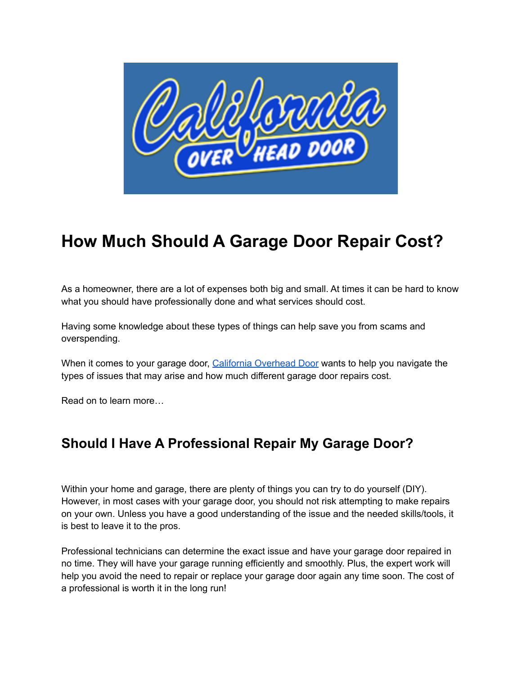

# **How Much Should A Garage Door Repair Cost?**

As a homeowner, there are a lot of expenses both big and small. At times it can be hard to know what you should have professionally done and what services should cost.

Having some knowledge about these types of things can help save you from scams and overspending.

When it comes to your garage door, California [Overhead](https://caoverheaddoor.com/) Door wants to help you navigate the types of issues that may arise and how much different garage door repairs cost.

Read on to learn more…

## **Should I Have A Professional Repair My Garage Door?**

Within your home and garage, there are plenty of things you can try to do yourself (DIY). However, in most cases with your garage door, you should not risk attempting to make repairs on your own. Unless you have a good understanding of the issue and the needed skills/tools, it is best to leave it to the pros.

Professional technicians can determine the exact issue and have your garage door repaired in no time. They will have your garage running efficiently and smoothly. Plus, the expert work will help you avoid the need to repair or replace your garage door again any time soon. The cost of a professional is worth it in the long run!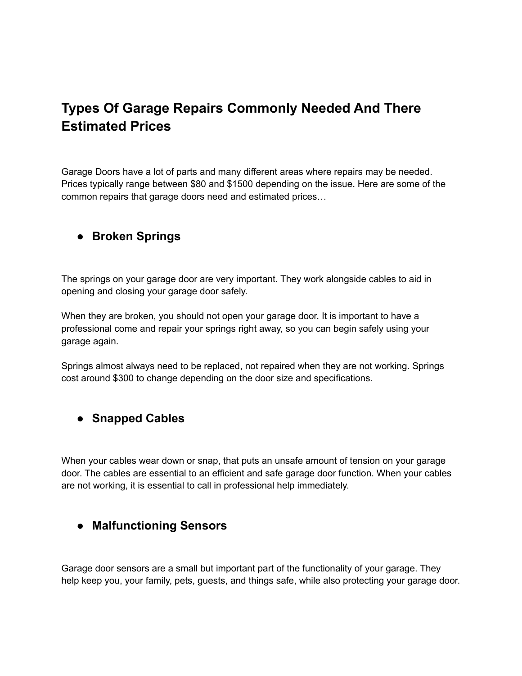## **Types Of Garage Repairs Commonly Needed And There Estimated Prices**

Garage Doors have a lot of parts and many different areas where repairs may be needed. Prices typically range between \$80 and \$1500 depending on the issue. Here are some of the common repairs that garage doors need and estimated prices…

#### ● **Broken Springs**

The springs on your garage door are very important. They work alongside cables to aid in opening and closing your garage door safely.

When they are broken, you should not open your garage door. It is important to have a professional come and repair your springs right away, so you can begin safely using your garage again.

Springs almost always need to be replaced, not repaired when they are not working. Springs cost around \$300 to change depending on the door size and specifications.

#### **● Snapped Cables**

When your cables wear down or snap, that puts an unsafe amount of tension on your garage door. The cables are essential to an efficient and safe garage door function. When your cables are not working, it is essential to call in professional help immediately.

#### **● Malfunctioning Sensors**

Garage door sensors are a small but important part of the functionality of your garage. They help keep you, your family, pets, guests, and things safe, while also protecting your garage door.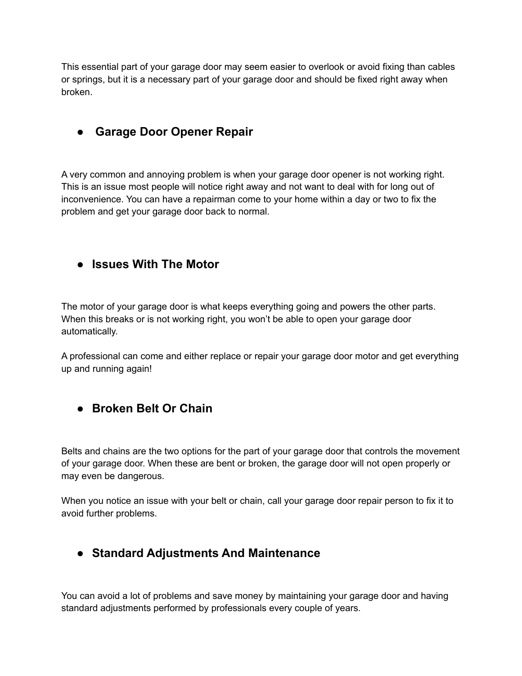This essential part of your garage door may seem easier to overlook or avoid fixing than cables or springs, but it is a necessary part of your garage door and should be fixed right away when broken.

#### **● Garage Door Opener Repair**

A very common and annoying problem is when your garage door opener is not working right. This is an issue most people will notice right away and not want to deal with for long out of inconvenience. You can have a repairman come to your home within a day or two to fix the problem and get your garage door back to normal.

#### **● Issues With The Motor**

The motor of your garage door is what keeps everything going and powers the other parts. When this breaks or is not working right, you won't be able to open your garage door automatically.

A professional can come and either replace or repair your garage door motor and get everything up and running again!

#### **● Broken Belt Or Chain**

Belts and chains are the two options for the part of your garage door that controls the movement of your garage door. When these are bent or broken, the garage door will not open properly or may even be dangerous.

When you notice an issue with your belt or chain, call your garage door repair person to fix it to avoid further problems.

### **● Standard Adjustments And Maintenance**

You can avoid a lot of problems and save money by maintaining your garage door and having standard adjustments performed by professionals every couple of years.